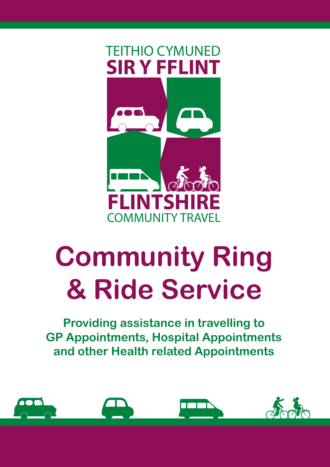

# **Community Ring & Ride Service**

**Providing assistance in travelling to GP Appointments, Hospital Appointments and other Health related Appointments**